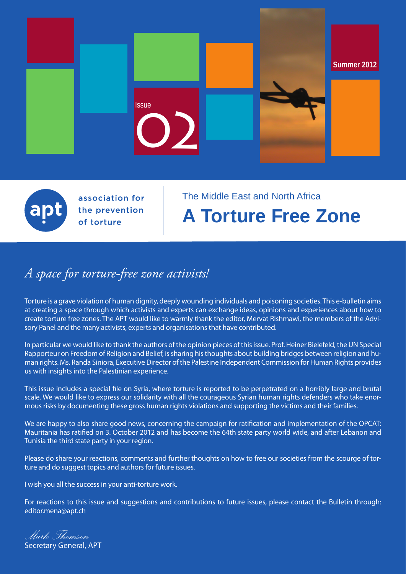

association for the prevention of torture

# The Middle East and North Africa **A Torture Free Zone**

# *A space for torture-free zone activists!*

Torture is a grave violation of human dignity, deeply wounding individuals and poisoning societies. This e-bulletin aims at creating a space through which activists and experts can exchange ideas, opinions and experiences about how to create torture free zones. The APT would like to warmly thank the editor, Mervat Rishmawi, the members of the Advisory Panel and the many activists, experts and organisations that have contributed.

In particular we would like to thank the authors of the opinion pieces of this issue. Prof. Heiner Bielefeld, the UN Special Rapporteur on Freedom of Religion and Belief, is sharing his thoughts about building bridges between religion and human rights. Ms. Randa Siniora, Executive Director of the Palestine Independent Commission for Human Rights provides us with insights into the Palestinian experience.

This issue includes a special file on Syria, where torture is reported to be perpetrated on a horribly large and brutal scale. We would like to express our solidarity with all the courageous Syrian human rights defenders who take enormous risks by documenting these gross human rights violations and supporting the victims and their families.

We are happy to also share good news, concerning the campaign for ratification and implementation of the OPCAT: Mauritania has ratified on 3. October 2012 and has become the 64th state party world wide, and after Lebanon and Tunisia the third state party in your region.

Please do share your reactions, comments and further thoughts on how to free our societies from the scourge of torture and do suggest topics and authors for future issues.

I wish you all the success in your anti-torture work.

For reactions to this issue and suggestions and contributions to future issues, please contact the Bulletin through: editor.mena@apt.ch

*Mark Thomson* Secretary General, APT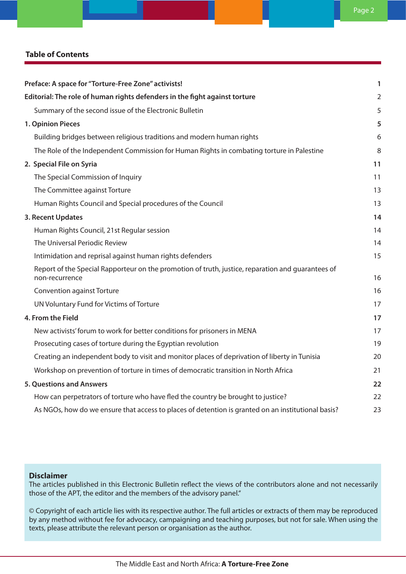# **Table of Contents**

| Preface: A space for "Torture-Free Zone" activists!                                                                 | 1              |
|---------------------------------------------------------------------------------------------------------------------|----------------|
| Editorial: The role of human rights defenders in the fight against torture                                          | $\overline{2}$ |
| Summary of the second issue of the Electronic Bulletin                                                              | 5              |
| 1. Opinion Pieces                                                                                                   | 5              |
| Building bridges between religious traditions and modern human rights                                               | 6              |
| The Role of the Independent Commission for Human Rights in combating torture in Palestine                           | 8              |
| 2. Special File on Syria                                                                                            | 11             |
| The Special Commission of Inquiry                                                                                   | 11             |
| The Committee against Torture                                                                                       | 13             |
| Human Rights Council and Special procedures of the Council                                                          | 13             |
| 3. Recent Updates                                                                                                   | 14             |
| Human Rights Council, 21st Regular session                                                                          | 14             |
| The Universal Periodic Review                                                                                       | 14             |
| Intimidation and reprisal against human rights defenders                                                            | 15             |
| Report of the Special Rapporteur on the promotion of truth, justice, reparation and guarantees of<br>non-recurrence | 16             |
| <b>Convention against Torture</b>                                                                                   | 16             |
| UN Voluntary Fund for Victims of Torture                                                                            | 17             |
| 4. From the Field                                                                                                   | 17             |
| New activists' forum to work for better conditions for prisoners in MENA                                            | 17             |
| Prosecuting cases of torture during the Egyptian revolution                                                         | 19             |
| Creating an independent body to visit and monitor places of deprivation of liberty in Tunisia                       | 20             |
| Workshop on prevention of torture in times of democratic transition in North Africa                                 | 21             |
| <b>5. Questions and Answers</b>                                                                                     | 22             |
| How can perpetrators of torture who have fled the country be brought to justice?                                    | 22             |
| As NGOs, how do we ensure that access to places of detention is granted on an institutional basis?                  | 23             |

# **Disclaimer**

The articles published in this Electronic Bulletin reflect the views of the contributors alone and not necessarily those of the APT, the editor and the members of the advisory panel."

© Copyright of each article lies with its respective author. The full articles or extracts of them may be reproduced by any method without fee for advocacy, campaigning and teaching purposes, but not for sale. When using the texts, please attribute the relevant person or organisation as the author.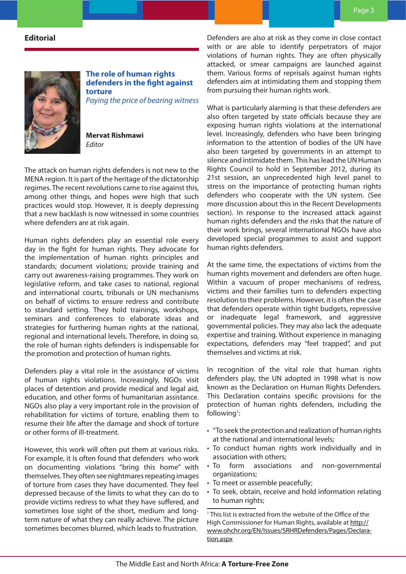# **Editorial**



**The role of human rights defenders in the fight against torture**

*Paying the price of bearing witness*

**Mervat Rishmawi** *Editor*

The attack on human rights defenders is not new to the MENA region. It is part of the heritage of the dictatorship regimes. The recent revolutions came to rise against this, among other things, and hopes were high that such practices would stop. However, it is deeply depressing that a new backlash is now witnessed in some countries where defenders are at risk again.

Human rights defenders play an essential role every day in the fight for human rights. They advocate for the implementation of human rights principles and standards; document violations; provide training and carry out awareness-raising programmes. They work on legislative reform, and take cases to national, regional and international courts, tribunals or UN mechanisms on behalf of victims to ensure redress and contribute to standard setting. They hold trainings, workshops, seminars and conferences to elaborate ideas and strategies for furthering human rights at the national, regional and international levels. Therefore, in doing so, the role of human rights defenders is indispensable for the promotion and protection of human rights.

Defenders play a vital role in the assistance of victims of human rights violations. Increasingly, NGOs visit places of detention and provide medical and legal aid, education, and other forms of humanitarian assistance. NGOs also play a very important role in the provision of rehabilitation for victims of torture, enabling them to resume their life after the damage and shock of torture or other forms of ill-treatment.

However, this work will often put them at various risks. For example, it is often found that defenders who work on documenting violations "bring this home" with themselves. They often see nightmares repeating images of torture from cases they have documented. They feel depressed because of the limits to what they can do to provide victims redress to what they have suffered, and sometimes lose sight of the short, medium and longterm nature of what they can really achieve. The picture sometimes becomes blurred, which leads to frustration.

Defenders are also at risk as they come in close contact with or are able to identify perpetrators of major violations of human rights. They are often physically attacked, or smear campaigns are launched against them. Various forms of reprisals against human rights defenders aim at intimidating them and stopping them from pursuing their human rights work.

What is particularly alarming is that these defenders are also often targeted by state officials because they are exposing human rights violations at the international level. Increasingly, defenders who have been bringing information to the attention of bodies of the UN have also been targeted by governments in an attempt to silence and intimidate them. This has lead the UN Human Rights Council to hold in September 2012, during its 21st session, an unprecedented high level panel to stress on the importance of protecting human rights defenders who cooperate with the UN system. (See more discussion about this in the Recent Developments section). In response to the increased attack against human rights defenders and the risks that the nature of their work brings, several international NGOs have also developed special programmes to assist and support human rights defenders.

At the same time, the expectations of victims from the human rights movement and defenders are often huge. Within a vacuum of proper mechanisms of redress, victims and their families turn to defenders expecting resolution to their problems. However, it is often the case that defenders operate within tight budgets, repressive or inadequate legal framework, and aggressive governmental policies. They may also lack the adequate expertise and training. Without experience in managing expectations, defenders may "feel trapped", and put themselves and victims at risk.

In recognition of the vital role that human rights defenders play, the UN adopted in 1998 what is now known as the Declaration on Human Rights Defenders. This Declaration contains specific provisions for the protection of human rights defenders, including the following<sup>1</sup>:

- "To seek the protection and realization of human rights at the national and international levels;
- To conduct human rights work individually and in association with others;
- To form associations and non-governmental organizations;
- To meet or assemble peacefully;
- To seek, obtain, receive and hold information relating to human rights;

1 This list is extracted from the website of the Office of the High Commissioner for Human Rights, available at http:// www.ohchr.org/EN/Issues/SRHRDefenders/Pages/Declaration.aspx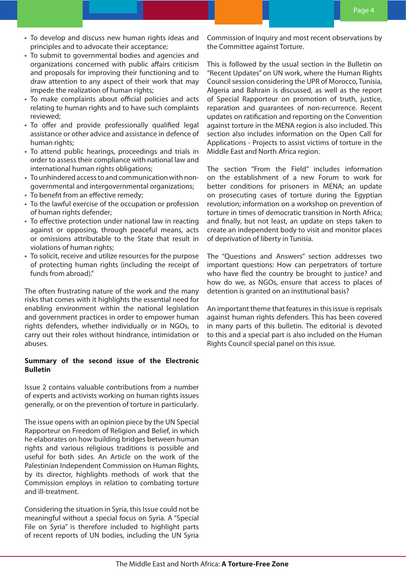- To develop and discuss new human rights ideas and principles and to advocate their acceptance;
- To submit to governmental bodies and agencies and organizations concerned with public affairs criticism and proposals for improving their functioning and to draw attention to any aspect of their work that may impede the realization of human rights;
- To make complaints about official policies and acts relating to human rights and to have such complaints reviewed;
- To offer and provide professionally qualified legal assistance or other advice and assistance in defence of human rights;
- To attend public hearings, proceedings and trials in order to assess their compliance with national law and international human rights obligations;
- To unhindered access to and communication with nongovernmental and intergovernmental organizations;
- To benefit from an effective remedy;
- To the lawful exercise of the occupation or profession of human rights defender;
- To effective protection under national law in reacting against or opposing, through peaceful means, acts or omissions attributable to the State that result in violations of human rights;
- To solicit, receive and utilize resources for the purpose of protecting human rights (including the receipt of funds from abroad)."

The often frustrating nature of the work and the many risks that comes with it highlights the essential need for enabling environment within the national legislation and government practices in order to empower human rights defenders, whether individually or in NGOs, to carry out their roles without hindrance, intimidation or abuses.

## **Summary of the second issue of the Electronic Bulletin**

Issue 2 contains valuable contributions from a number of experts and activists working on human rights issues generally, or on the prevention of torture in particularly.

The issue opens with an opinion piece by the UN Special Rapporteur on Freedom of Religion and Belief, in which he elaborates on how building bridges between human rights and various religious traditions is possible and useful for both sides. An Article on the work of the Palestinian Independent Commission on Human Rights, by its director, highlights methods of work that the Commission employs in relation to combating torture and ill-treatment.

Considering the situation in Syria, this Issue could not be meaningful without a special focus on Syria. A "Special File on Syria" is therefore included to highlight parts of recent reports of UN bodies, including the UN Syria

Commission of Inquiry and most recent observations by the Committee against Torture.

This is followed by the usual section in the Bulletin on "Recent Updates" on UN work, where the Human Rights Council session considering the UPR of Morocco, Tunisia, Algeria and Bahrain is discussed, as well as the report of Special Rapporteur on promotion of truth, justice, reparation and guarantees of non-recurrence. Recent updates on ratification and reporting on the Convention against torture in the MENA region is also included. This section also includes information on the Open Call for Applications - Projects to assist victims of torture in the Middle East and North Africa region.

The section "From the Field" includes information on the establishment of a new Forum to work for better conditions for prisoners in MENA; an update on prosecuting cases of torture during the Egyptian revolution; information on a workshop on prevention of torture in times of democratic transition in North Africa; and finally, but not least, an update on steps taken to create an independent body to visit and monitor places of deprivation of liberty in Tunisia.

The "Questions and Answers" section addresses two important questions: How can perpetrators of torture who have fled the country be brought to justice? and how do we, as NGOs, ensure that access to places of detention is granted on an institutional basis?

An important theme that features in this issue is reprisals against human rights defenders. This has been covered in many parts of this bulletin. The editorial is devoted to this and a special part is also included on the Human Rights Council special panel on this issue.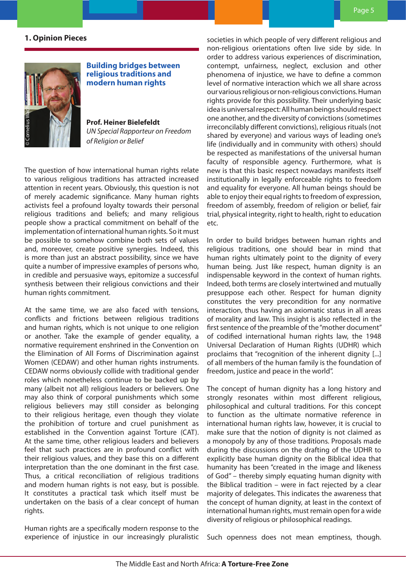# **1. Opinion Pieces**



**Building bridges between religious traditions and modern human rights**

**Prof. Heiner Bielefeldt**  *UN Special Rapporteur on Freedom of Religion or Belief*

The question of how international human rights relate to various religious traditions has attracted increased attention in recent years. Obviously, this question is not of merely academic significance. Many human rights activists feel a profound loyalty towards their personal religious traditions and beliefs; and many religious people show a practical commitment on behalf of the implementation of international human rights. So it must be possible to somehow combine both sets of values and, moreover, create positive synergies. Indeed, this is more than just an abstract possibility, since we have quite a number of impressive examples of persons who, in credible and persuasive ways, epitomize a successful synthesis between their religious convictions and their human rights commitment.

At the same time, we are also faced with tensions, conflicts and frictions between religious traditions and human rights, which is not unique to one religion or another. Take the example of gender equality, a normative requirement enshrined in the Convention on the Elimination of All Forms of Discrimination against Women (CEDAW) and other human rights instruments. CEDAW norms obviously collide with traditional gender roles which nonetheless continue to be backed up by many (albeit not all) religious leaders or believers. One may also think of corporal punishments which some religious believers may still consider as belonging to their religious heritage, even though they violate the prohibition of torture and cruel punishment as established in the Convention against Torture (CAT). At the same time, other religious leaders and believers feel that such practices are in profound conflict with their religious values, and they base this on a different interpretation than the one dominant in the first case. Thus, a critical reconciliation of religious traditions and modern human rights is not easy, but is possible. It constitutes a practical task which itself must be undertaken on the basis of a clear concept of human rights.

Human rights are a specifically modern response to the experience of injustice in our increasingly pluralistic societies in which people of very different religious and non-religious orientations often live side by side. In order to address various experiences of discrimination, contempt, unfairness, neglect, exclusion and other phenomena of injustice, we have to define a common level of normative interaction which we all share across our various religious or non-religious convictions. Human rights provide for this possibility. Their underlying basic idea is universal respect: All human beings should respect one another, and the diversity of convictions (sometimes irreconcilably different convictions), religious rituals (not shared by everyone) and various ways of leading one's life (individually and in community with others) should be respected as manifestations of the universal human faculty of responsible agency. Furthermore, what is new is that this basic respect nowadays manifests itself institutionally in legally enforceable rights to freedom and equality for everyone. All human beings should be able to enjoy their equal rights to freedom of expression, freedom of assembly, freedom of religion or belief, fair trial, physical integrity, right to health, right to education etc.

In order to build bridges between human rights and religious traditions, one should bear in mind that human rights ultimately point to the dignity of every human being. Just like respect, human dignity is an indispensable keyword in the context of human rights. Indeed, both terms are closely intertwined and mutually presuppose each other. Respect for human dignity constitutes the very precondition for any normative interaction, thus having an axiomatic status in all areas of morality and law. This insight is also reflected in the first sentence of the preamble of the "mother document" of codified international human rights law, the 1948 Universal Declaration of Human Rights (UDHR) which proclaims that "recognition of the inherent dignity [...] of all members of the human family is the foundation of freedom, justice and peace in the world".

The concept of human dignity has a long history and strongly resonates within most different religious, philosophical and cultural traditions. For this concept to function as the ultimate normative reference in international human rights law, however, it is crucial to make sure that the notion of dignity is not claimed as a monopoly by any of those traditions. Proposals made during the discussions on the drafting of the UDHR to explicitly base human dignity on the Biblical idea that humanity has been "created in the image and likeness of God" – thereby simply equating human dignity with the Biblical tradition – were in fact rejected by a clear majority of delegates. This indicates the awareness that the concept of human dignity, at least in the context of international human rights, must remain open for a wide diversity of religious or philosophical readings.

Such openness does not mean emptiness, though.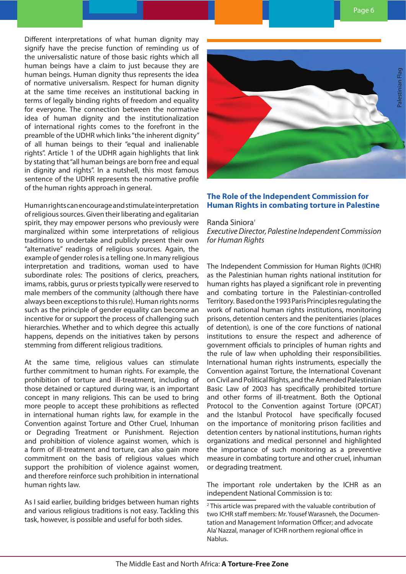Different interpretations of what human dignity may signify have the precise function of reminding us of the universalistic nature of those basic rights which all human beings have a claim to just because they are human beings. Human dignity thus represents the idea of normative universalism. Respect for human dignity at the same time receives an institutional backing in terms of legally binding rights of freedom and equality for everyone. The connection between the normative idea of human dignity and the institutionalization of international rights comes to the forefront in the preamble of the UDHR which links "the inherent dignity" of all human beings to their "equal and inalienable rights". Article 1 of the UDHR again highlights that link by stating that "all human beings are born free and equal in dignity and rights". In a nutshell, this most famous sentence of the UDHR represents the normative profile of the human rights approach in general.

Human rights can encourage and stimulate interpretation of religious sources. Given their liberating and egalitarian spirit, they may empower persons who previously were marginalized within some interpretations of religious traditions to undertake and publicly present their own "alternative" readings of religious sources. Again, the example of gender roles is a telling one. In many religious interpretation and traditions, woman used to have subordinate roles: The positions of clerics, preachers, imams, rabbis, gurus or priests typically were reserved to male members of the community (although there have always been exceptions to this rule). Human rights norms such as the principle of gender equality can become an incentive for or support the process of challenging such hierarchies. Whether and to which degree this actually happens, depends on the initiatives taken by persons stemming from different religious traditions.

At the same time, religious values can stimulate further commitment to human rights. For example, the prohibition of torture and ill-treatment, including of those detained or captured during war, is an important concept in many religions. This can be used to bring more people to accept these prohibitions as reflected in international human rights law, for example in the Convention against Torture and Other Cruel, Inhuman or Degrading Treatment or Punishment. Rejection and prohibition of violence against women, which is a form of ill-treatment and torture, can also gain more commitment on the basis of religious values which support the prohibition of violence against women, and therefore reinforce such prohibition in international human rights law.

As I said earlier, building bridges between human rights and various religious traditions is not easy. Tackling this task, however, is possible and useful for both sides.



# **The Role of the Independent Commission for Human Rights in combating torture in Palestine**

#### Randa Siniora<sup>®</sup>

*Executive Director, Palestine Independent Commission for Human Rights*

The Independent Commission for Human Rights (ICHR) as the Palestinian human rights national institution for human rights has played a significant role in preventing and combating torture in the Palestinian-controlled Territory. Based on the 1993 Paris Principles regulating the work of national human rights institutions, monitoring prisons, detention centers and the penitentiaries (places of detention), is one of the core functions of national institutions to ensure the respect and adherence of government officials to principles of human rights and the rule of law when upholding their responsibilities. International human rights instruments, especially the Convention against Torture, the International Covenant on Civil and Political Rights, and the Amended Palestinian Basic Law of 2003 has specifically prohibited torture and other forms of ill-treatment. Both the Optional Protocol to the Convention against Torture (OPCAT) and the Istanbul Protocol have specifically focused on the importance of monitoring prison facilities and detention centers by national institutions, human rights organizations and medical personnel and highlighted the importance of such monitoring as a preventive measure in combating torture and other cruel, inhuman or degrading treatment.

The important role undertaken by the ICHR as an independent National Commission is to:

<sup>2</sup> This article was prepared with the valuable contribution of two ICHR staff members: Mr. Yousef Warasneh, the Documentation and Management Information Officer; and advocate Ala' Nazzal, manager of ICHR northern regional office in Nablus.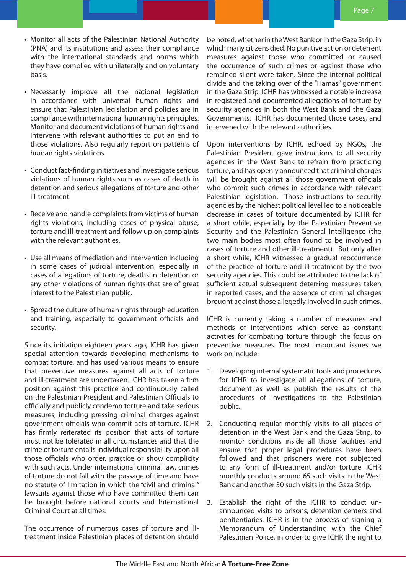- • Monitor all acts of the Palestinian National Authority (PNA) and its institutions and assess their compliance with the international standards and norms which they have complied with unilaterally and on voluntary basis.
- Necessarily improve all the national legislation in accordance with universal human rights and ensure that Palestinian legislation and policies are in compliance with international human rights principles. Monitor and document violations of human rights and intervene with relevant authorities to put an end to those violations. Also regularly report on patterns of human rights violations.
- Conduct fact-finding initiatives and investigate serious violations of human rights such as cases of death in detention and serious allegations of torture and other ill-treatment.
- Receive and handle complaints from victims of human rights violations, including cases of physical abuse, torture and ill-treatment and follow up on complaints with the relevant authorities.
- • Use all means of mediation and intervention including in some cases of judicial intervention, especially in cases of allegations of torture, deaths in detention or any other violations of human rights that are of great interest to the Palestinian public.
- Spread the culture of human rights through education and training, especially to government officials and security.

Since its initiation eighteen years ago, ICHR has given special attention towards developing mechanisms to combat torture, and has used various means to ensure that preventive measures against all acts of torture and ill-treatment are undertaken. ICHR has taken a firm position against this practice and continuously called on the Palestinian President and Palestinian Officials to officially and publicly condemn torture and take serious measures, including pressing criminal charges against government officials who commit acts of torture. ICHR has firmly reiterated its position that acts of torture must not be tolerated in all circumstances and that the crime of torture entails individual responsibility upon all those officials who order, practice or show complicity with such acts. Under international criminal law, crimes of torture do not fall with the passage of time and have no statute of limitation in which the "civil and criminal" lawsuits against those who have committed them can be brought before national courts and International Criminal Court at all times.

The occurrence of numerous cases of torture and illtreatment inside Palestinian places of detention should be noted, whether in the West Bank or in the Gaza Strip, in which many citizens died. No punitive action or deterrent measures against those who committed or caused the occurrence of such crimes or against those who remained silent were taken. Since the internal political divide and the taking over of the "Hamas" government in the Gaza Strip, ICHR has witnessed a notable increase in registered and documented allegations of torture by security agencies in both the West Bank and the Gaza Governments. ICHR has documented those cases, and intervened with the relevant authorities.

Upon interventions by ICHR, echoed by NGOs, the Palestinian President gave instructions to all security agencies in the West Bank to refrain from practicing torture, and has openly announced that criminal charges will be brought against all those government officials who commit such crimes in accordance with relevant Palestinian legislation. Those instructions to security agencies by the highest political level led to a noticeable decrease in cases of torture documented by ICHR for a short while, especially by the Palestinian Preventive Security and the Palestinian General Intelligence (the two main bodies most often found to be involved in cases of torture and other ill-treatment). But only after a short while, ICHR witnessed a gradual reoccurrence of the practice of torture and ill-treatment by the two security agencies. This could be attributed to the lack of sufficient actual subsequent deterring measures taken in reported cases, and the absence of criminal charges brought against those allegedly involved in such crimes.

ICHR is currently taking a number of measures and methods of interventions which serve as constant activities for combating torture through the focus on preventive measures. The most important issues we work on include:

- 1. Developing internal systematic tools and procedures for ICHR to investigate all allegations of torture, document as well as publish the results of the procedures of investigations to the Palestinian public.
- 2. Conducting regular monthly visits to all places of detention in the West Bank and the Gaza Strip, to monitor conditions inside all those facilities and ensure that proper legal procedures have been followed and that prisoners were not subjected to any form of ill-treatment and/or torture. ICHR monthly conducts around 65 such visits in the West Bank and another 30 such visits in the Gaza Strip.
- 3. Establish the right of the ICHR to conduct unannounced visits to prisons, detention centers and penitentiaries. ICHR is in the process of signing a Memorandum of Understanding with the Chief Palestinian Police, in order to give ICHR the right to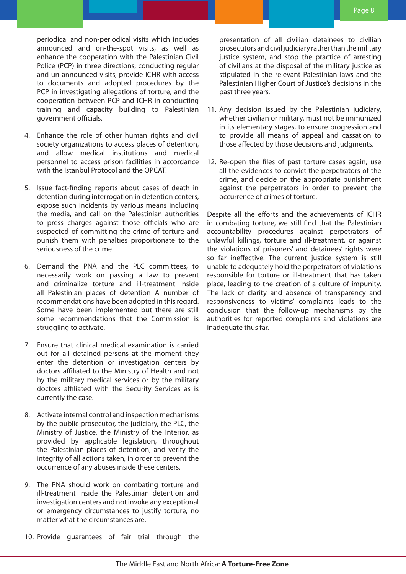periodical and non-periodical visits which includes announced and on-the-spot visits, as well as enhance the cooperation with the Palestinian Civil Police (PCP) in three directions; conducting regular and un-announced visits, provide ICHR with access to documents and adopted procedures by the PCP in investigating allegations of torture, and the cooperation between PCP and ICHR in conducting training and capacity building to Palestinian government officials.

- 4. Enhance the role of other human rights and civil society organizations to access places of detention, and allow medical institutions and medical personnel to access prison facilities in accordance with the Istanbul Protocol and the OPCAT.
- 5. Issue fact-finding reports about cases of death in detention during interrogation in detention centers, expose such incidents by various means including the media, and call on the Palestinian authorities to press charges against those officials who are suspected of committing the crime of torture and punish them with penalties proportionate to the seriousness of the crime.
- 6. Demand the PNA and the PLC committees, to necessarily work on passing a law to prevent and criminalize torture and ill-treatment inside all Palestinian places of detention A number of recommendations have been adopted in this regard. Some have been implemented but there are still some recommendations that the Commission is struggling to activate.
- 7. Ensure that clinical medical examination is carried out for all detained persons at the moment they enter the detention or investigation centers by doctors affiliated to the Ministry of Health and not by the military medical services or by the military doctors affiliated with the Security Services as is currently the case.
- 8. Activate internal control and inspection mechanisms by the public prosecutor, the judiciary, the PLC, the Ministry of Justice, the Ministry of the Interior, as provided by applicable legislation, throughout the Palestinian places of detention, and verify the integrity of all actions taken, in order to prevent the occurrence of any abuses inside these centers.
- 9. The PNA should work on combating torture and ill-treatment inside the Palestinian detention and investigation centers and not invoke any exceptional or emergency circumstances to justify torture, no matter what the circumstances are.
- 10. Provide guarantees of fair trial through the

presentation of all civilian detainees to civilian prosecutors and civil judiciary rather than the military justice system, and stop the practice of arresting of civilians at the disposal of the military justice as stipulated in the relevant Palestinian laws and the Palestinian Higher Court of Justice's decisions in the past three years.

- 11. Any decision issued by the Palestinian judiciary, whether civilian or military, must not be immunized in its elementary stages, to ensure progression and to provide all means of appeal and cassation to those affected by those decisions and judgments.
- 12. Re-open the files of past torture cases again, use all the evidences to convict the perpetrators of the crime, and decide on the appropriate punishment against the perpetrators in order to prevent the occurrence of crimes of torture.

Despite all the efforts and the achievements of ICHR in combating torture, we still find that the Palestinian accountability procedures against perpetrators of unlawful killings, torture and ill-treatment, or against the violations of prisoners' and detainees' rights were so far ineffective. The current justice system is still unable to adequately hold the perpetrators of violations responsible for torture or ill-treatment that has taken place, leading to the creation of a culture of impunity. The lack of clarity and absence of transparency and responsiveness to victims' complaints leads to the conclusion that the follow-up mechanisms by the authorities for reported complaints and violations are inadequate thus far.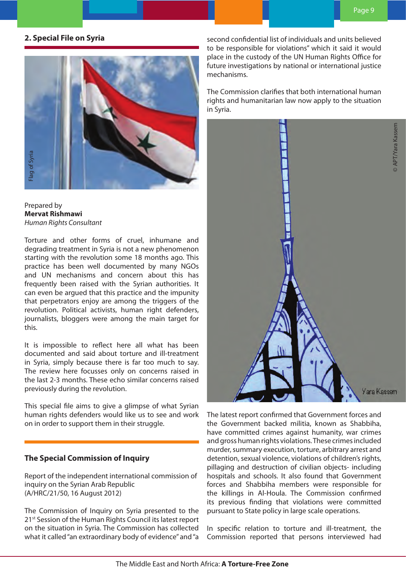# **2. Special File on Syria**



### Prepared by **Mervat Rishmawi**  *Human Rights Consultant*

Torture and other forms of cruel, inhumane and degrading treatment in Syria is not a new phenomenon starting with the revolution some 18 months ago. This practice has been well documented by many NGOs and UN mechanisms and concern about this has frequently been raised with the Syrian authorities. It can even be argued that this practice and the impunity that perpetrators enjoy are among the triggers of the revolution. Political activists, human right defenders, journalists, bloggers were among the main target for this.

It is impossible to reflect here all what has been documented and said about torture and ill-treatment in Syria, simply because there is far too much to say. The review here focusses only on concerns raised in the last 2-3 months. These echo similar concerns raised previously during the revolution.

This special file aims to give a glimpse of what Syrian human rights defenders would like us to see and work on in order to support them in their struggle.

# **The Special Commission of Inquiry**

Report of the independent international commission of inquiry on the Syrian Arab Republic (A/HRC/21/50, 16 August 2012)

The Commission of Inquiry on Syria presented to the 21<sup>st</sup> Session of the Human Rights Council its latest report on the situation in Syria. The Commission has collected what it called "an extraordinary body of evidence" and "a second confidential list of individuals and units believed to be responsible for violations" which it said it would place in the custody of the UN Human Rights Office for future investigations by national or international justice mechanisms.

The Commission clarifies that both international human rights and humanitarian law now apply to the situation in Syria.



The latest report confirmed that Government forces and the Government backed militia, known as Shabbiha, have committed crimes against humanity, war crimes and gross human rights violations. These crimes included murder, summary execution, torture, arbitrary arrest and detention, sexual violence, violations of children's rights, pillaging and destruction of civilian objects- including hospitals and schools. It also found that Government forces and Shabbiha members were responsible for the killings in Al-Houla. The Commission confirmed its previous finding that violations were committed pursuant to State policy in large scale operations.

In specific relation to torture and ill-treatment, the Commission reported that persons interviewed had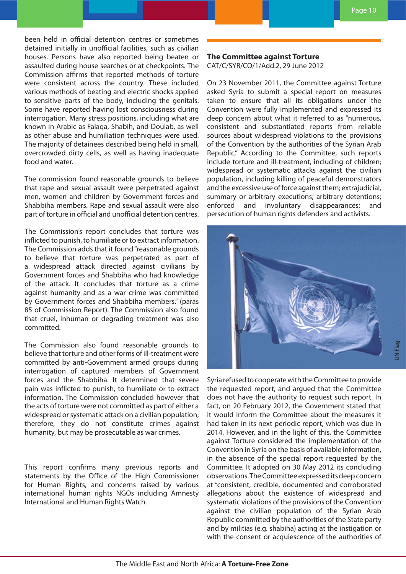been held in official detention centres or sometimes detained initially in unofficial facilities, such as civilian houses. Persons have also reported being beaten or assaulted during house searches or at checkpoints. The Commission affirms that reported methods of torture were consistent across the country. These included various methods of beating and electric shocks applied to sensitive parts of the body, including the genitals. Some have reported having lost consciousness during interrogation. Many stress positions, including what are known in Arabic as Falaqa, Shabih, and Doulab, as well as other abuse and humiliation techniques were used. The majority of detainees described being held in small, overcrowded dirty cells, as well as having inadequate food and water.

The commission found reasonable grounds to believe that rape and sexual assault were perpetrated against men, women and children by Government forces and Shabbiha members. Rape and sexual assault were also part of torture in official and unofficial detention centres.

The Commission's report concludes that torture was inflicted to punish, to humiliate or to extract information. The Commission adds that it found "reasonable grounds to believe that torture was perpetrated as part of a widespread attack directed against civilians by Government forces and Shabbiha who had knowledge of the attack. It concludes that torture as a crime against humanity and as a war crime was committed by Government forces and Shabbiha members." (paras 85 of Commission Report). The Commission also found that cruel, inhuman or degrading treatment was also committed.

The Commission also found reasonable grounds to believe that torture and other forms of ill-treatment were committed by anti-Government armed groups during interrogation of captured members of Government forces and the Shabbiha. It determined that severe pain was inflicted to punish, to humiliate or to extract information. The Commission concluded however that the acts of torture were not committed as part of either a widespread or systematic attack on a civilian population; therefore, they do not constitute crimes against humanity, but may be prosecutable as war crimes.

This report confirms many previous reports and statements by the Office of the High Commissioner for Human Rights, and concerns raised by various international human rights NGOs including Amnesty International and Human Rights Watch.

**The Committee against Torture**

CAT/C/SYR/CO/1/Add.2, 29 June 2012

On 23 November 2011, the Committee against Torture asked Syria to submit a special report on measures taken to ensure that all its obligations under the Convention were fully implemented and expressed its deep concern about what it referred to as "numerous, consistent and substantiated reports from reliable sources about widespread violations to the provisions of the Convention by the authorities of the Syrian Arab Republic," According to the Committee, such reports include torture and ill-treatment, including of children; widespread or systematic attacks against the civilian population, including killing of peaceful demonstrators and the excessive use of force against them; extrajudicial, summary or arbitrary executions; arbitrary detentions; enforced and involuntary disappearances; and persecution of human rights defenders and activists.



Syria refused to cooperate with the Committee to provide the requested report, and argued that the Committee does not have the authority to request such report. In fact, on 20 February 2012, the Government stated that it would inform the Committee about the measures it had taken in its next periodic report, which was due in 2014. However, and in the light of this, the Committee against Torture considered the implementation of the Convention in Syria on the basis of available information, in the absence of the special report requested by the Committee. It adopted on 30 May 2012 its concluding observations. The Committee expressed its deep concern at "consistent, credible, documented and corroborated allegations about the existence of widespread and systematic violations of the provisions of the Convention against the civilian population of the Syrian Arab Republic committed by the authorities of the State party and by militias (e.g. shabiha) acting at the instigation or with the consent or acquiescence of the authorities of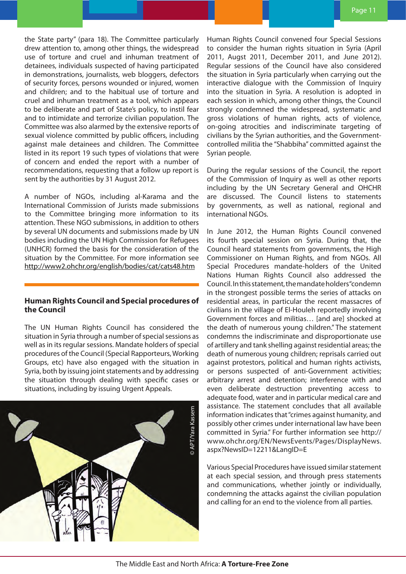the State party" (para 18). The Committee particularly drew attention to, among other things, the widespread use of torture and cruel and inhuman treatment of detainees, individuals suspected of having participated in demonstrations, journalists, web bloggers, defectors of security forces, persons wounded or injured, women and children; and to the habitual use of torture and cruel and inhuman treatment as a tool, which appears to be deliberate and part of State's policy, to instil fear and to intimidate and terrorize civilian population. The Committee was also alarmed by the extensive reports of sexual violence committed by public officers, including against male detainees and children. The Committee listed in its report 19 such types of violations that were of concern and ended the report with a number of recommendations, requesting that a follow up report is sent by the authorities by 31 August 2012.

A number of NGOs, including al-Karama and the International Commission of Jurists made submissions to the Committee bringing more information to its attention. These NGO submissions, in addition to others by several UN documents and submissions made by UN bodies including the UN High Commission for Refugees (UNHCR) formed the basis for the consideration of the situation by the Committee. For more information see http://www2.ohchr.org/english/bodies/cat/cats48.htm

#### **Human Rights Council and Special procedures of the Council**

The UN Human Rights Council has considered the situation in Syria through a number of special sessions as well as in its regular sessions. Mandate holders of special procedures of the Council (Special Rapporteurs, Working Groups, etc) have also engaged with the situation in Syria, both by issuing joint statements and by addressing the situation through dealing with specific cases or situations, including by issuing Urgent Appeals.



Human Rights Council convened four Special Sessions to consider the human rights situation in Syria (April 2011, Augst 2011, December 2011, and June 2012). Regular sessions of the Council have also considered the situation in Syria particularly when carrying out the interactive dialogue with the Commission of Inquiry into the situation in Syria. A resolution is adopted in each session in which, among other things, the Council strongly condemned the widespread, systematic and gross violations of human rights, acts of violence, on-going atrocities and indiscriminate targeting of civilians by the Syrian authorities, and the Governmentcontrolled militia the "Shabbiha" committed against the Syrian people.

During the regular sessions of the Council, the report of the Commission of Inquiry as well as other reports including by the UN Secretary General and OHCHR are discussed. The Council listens to statements by governments, as well as national, regional and international NGOs.

In June 2012, the Human Rights Council convened its fourth special session on Syria. During that, the Council heard statements from governments, the High Commissioner on Human Rights, and from NGOs. All Special Procedures mandate-holders of the United Nations Human Rights Council also addressed the Council. In this statement, the mandate holders "condemn in the strongest possible terms the series of attacks on residential areas, in particular the recent massacres of civilians in the village of El-Houleh reportedly involving Government forces and militias… [and are] shocked at the death of numerous young children." The statement condemns the indiscriminate and disproportionate use of artillery and tank shelling against residential areas; the death of numerous young children; reprisals carried out against protestors, political and human rights activists, or persons suspected of anti-Government activities; arbitrary arrest and detention; interference with and even deliberate destruction preventing access to adequate food, water and in particular medical care and assistance. The statement concludes that all available information indicates that "crimes against humanity, and possibly other crimes under international law have been committed in Syria." For further information see http:// www.ohchr.org/EN/NewsEvents/Pages/DisplayNews. aspx?NewsID=12211&LangID=E

Various Special Procedures have issued similar statement at each special session, and through press statements and communications, whether jointly or individually, condemning the attacks against the civilian population and calling for an end to the violence from all parties.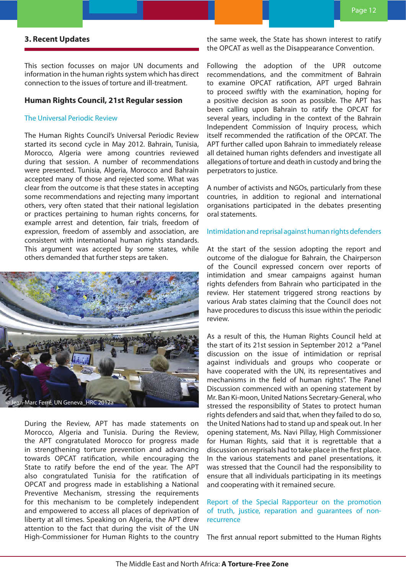## **3. Recent Updates**

This section focusses on major UN documents and information in the human rights system which has direct connection to the issues of torture and ill-treatment.

#### **Human Rights Council, 21st Regular session**

#### The Universal Periodic Review

The Human Rights Council's Universal Periodic Review started its second cycle in May 2012. Bahrain, Tunisia, Morocco, Algeria were among countries reviewed during that session. A number of recommendations were presented. Tunisia, Algeria, Morocco and Bahrain accepted many of those and rejected some. What was clear from the outcome is that these states in accepting some recommendations and rejecting many important others, very often stated that their national legislation or practices pertaining to human rights concerns, for example arrest and detention, fair trials, freedom of expression, freedom of assembly and association, are consistent with international human rights standards. This argument was accepted by some states, while others demanded that further steps are taken.



During the Review, APT has made statements on Morocco, Algeria and Tunisia. During the Review, the APT congratulated Morocco for progress made in strengthening torture prevention and advancing towards OPCAT ratification, while encouraging the State to ratify before the end of the year. The APT also congratulated Tunisia for the ratification of OPCAT and progress made in establishing a National Preventive Mechanism, stressing the requirements for this mechanism to be completely independent and empowered to access all places of deprivation of liberty at all times. Speaking on Algeria, the APT drew attention to the fact that during the visit of the UN High-Commissioner for Human Rights to the country the same week, the State has shown interest to ratify the OPCAT as well as the Disappearance Convention.

Following the adoption of the UPR outcome recommendations, and the commitment of Bahrain to examine OPCAT ratification, APT urged Bahrain to proceed swiftly with the examination, hoping for a positive decision as soon as possible. The APT has been calling upon Bahrain to ratify the OPCAT for several years, including in the context of the Bahrain Independent Commission of Inquiry process, which itself recommended the ratification of the OPCAT. The APT further called upon Bahrain to immediately release all detained human rights defenders and investigate all allegations of torture and death in custody and bring the perpetrators to justice.

A number of activists and NGOs, particularly from these countries, in addition to regional and international organisations participated in the debates presenting oral statements.

#### Intimidation and reprisal against human rights defenders

At the start of the session adopting the report and outcome of the dialogue for Bahrain, the Chairperson of the Council expressed concern over reports of intimidation and smear campaigns against human rights defenders from Bahrain who participated in the review. Her statement triggered strong reactions by various Arab states claiming that the Council does not have procedures to discuss this issue within the periodic review.

As a result of this, the Human Rights Council held at the start of its 21st session in September 2012 a "Panel discussion on the issue of intimidation or reprisal against individuals and groups who cooperate or have cooperated with the UN, its representatives and mechanisms in the field of human rights". The Panel Discussion commenced with an opening statement by Mr. Ban Ki-moon, United Nations Secretary-General, who stressed the responsibility of States to protect human rights defenders and said that, when they failed to do so, the United Nations had to stand up and speak out. In her opening statement, Ms. Navi Pillay, High Commissioner for Human Rights, said that it is regrettable that a discussion on reprisals had to take place in the first place. In the various statements and panel presentations, it was stressed that the Council had the responsibility to ensure that all individuals participating in its meetings and cooperating with it remained secure.

## Report of the Special Rapporteur on the promotion of truth, justice, reparation and guarantees of nonrecurrence

The first annual report submitted to the Human Rights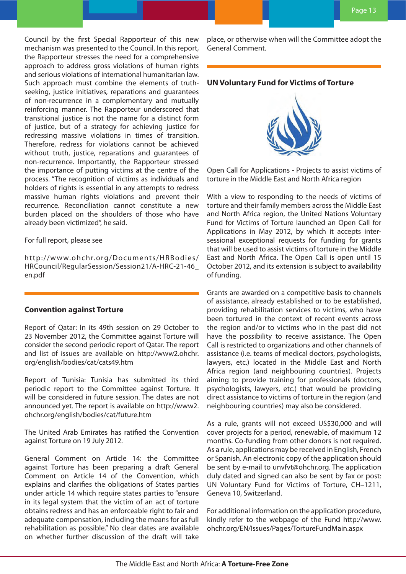Council by the first Special Rapporteur of this new mechanism was presented to the Council. In this report, the Rapporteur stresses the need for a comprehensive approach to address gross violations of human rights and serious violations of international humanitarian law. Such approach must combine the elements of truthseeking, justice initiatives, reparations and guarantees of non-recurrence in a complementary and mutually reinforcing manner. The Rapporteur underscored that transitional justice is not the name for a distinct form of justice, but of a strategy for achieving justice for redressing massive violations in times of transition. Therefore, redress for violations cannot be achieved without truth, justice, reparations and guarantees of non-recurrence. Importantly, the Rapporteur stressed the importance of putting victims at the centre of the process. "The recognition of victims as individuals and holders of rights is essential in any attempts to redress massive human rights violations and prevent their recurrence. Reconciliation cannot constitute a new burden placed on the shoulders of those who have already been victimized", he said.

For full report, please see

http://www.ohchr.org/Documents/HRBodies/ HRCouncil/RegularSession/Session21/A-HRC-21-46\_ en.pdf

### **Convention against Torture**

Report of Qatar: In its 49th session on 29 October to 23 November 2012, the Committee against Torture will consider the second periodic report of Qatar. The report and list of issues are available on http://www2.ohchr. org/english/bodies/cat/cats49.htm

Report of Tunisia: Tunisia has submitted its third periodic report to the Committee against Torture. It will be considered in future session. The dates are not announced yet. The report is available on http://www2. ohchr.org/english/bodies/cat/future.htm

The United Arab Emirates has ratified the Convention against Torture on 19 July 2012.

General Comment on Article 14: the Committee against Torture has been preparing a draft General Comment on Article 14 of the Convention, which explains and clarifies the obligations of States parties under article 14 which require states parties to "ensure in its legal system that the victim of an act of torture obtains redress and has an enforceable right to fair and adequate compensation, including the means for as full rehabilitation as possible." No clear dates are available on whether further discussion of the draft will take

place, or otherwise when will the Committee adopt the General Comment.

# **UN Voluntary Fund for Victims of Torture**



Open Call for Applications - Projects to assist victims of torture in the Middle East and North Africa region

With a view to responding to the needs of victims of torture and their family members across the Middle East and North Africa region, the United Nations Voluntary Fund for Victims of Torture launched an Open Call for Applications in May 2012, by which it accepts intersessional exceptional requests for funding for grants that will be used to assist victims of torture in the Middle East and North Africa. The Open Call is open until 15 October 2012, and its extension is subject to availability of funding.

Grants are awarded on a competitive basis to channels of assistance, already established or to be established, providing rehabilitation services to victims, who have been tortured in the context of recent events across the region and/or to victims who in the past did not have the possibility to receive assistance. The Open Call is restricted to organizations and other channels of assistance (i.e. teams of medical doctors, psychologists, lawyers, etc.) located in the Middle East and North Africa region (and neighbouring countries). Projects aiming to provide training for professionals (doctors, psychologists, lawyers, etc.) that would be providing direct assistance to victims of torture in the region (and neighbouring countries) may also be considered.

As a rule, grants will not exceed US\$30,000 and will cover projects for a period, renewable, of maximum 12 months. Co-funding from other donors is not required. As a rule, applications may be received in English, French or Spanish. An electronic copy of the application should be sent by e-mail to unvfvt@ohchr.org. The application duly dated and signed can also be sent by fax or post: UN Voluntary Fund for Victims of Torture, CH–1211, Geneva 10, Switzerland.

For additional information on the application procedure, kindly refer to the webpage of the Fund http://www. ohchr.org/EN/Issues/Pages/TortureFundMain.aspx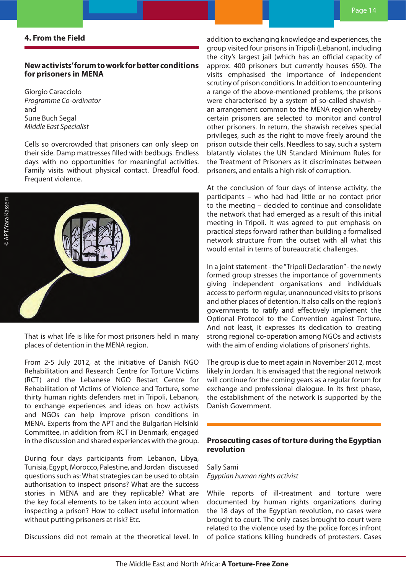## **4. From the Field**

# **New activists' forum to work for better conditions for prisoners in MENA**

Giorgio Caracciolo *Programme Co-ordinator* and Sune Buch Segal *Middle East Specialist*

Cells so overcrowded that prisoners can only sleep on their side. Damp mattresses filled with bedbugs. Endless days with no opportunities for meaningful activities. Family visits without physical contact. Dreadful food. Frequent violence.



That is what life is like for most prisoners held in many places of detention in the MENA region.

From 2-5 July 2012, at the initiative of Danish NGO Rehabilitation and Research Centre for Torture Victims (RCT) and the Lebanese NGO Restart Centre for Rehabilitation of Victims of Violence and Torture, some thirty human rights defenders met in Tripoli, Lebanon, to exchange experiences and ideas on how activists and NGOs can help improve prison conditions in MENA. Experts from the APT and the Bulgarian Helsinki Committee, in addition from RCT in Denmark, engaged in the discussion and shared experiences with the group.

During four days participants from Lebanon, Libya, Tunisia, Egypt, Morocco, Palestine, and Jordan discussed questions such as: What strategies can be used to obtain authorisation to inspect prisons? What are the success stories in MENA and are they replicable? What are the key focal elements to be taken into account when inspecting a prison? How to collect useful information without putting prisoners at risk? Etc.

Discussions did not remain at the theoretical level. In

addition to exchanging knowledge and experiences, the group visited four prisons in Tripoli (Lebanon), including the city's largest jail (which has an official capacity of approx. 400 prisoners but currently houses 650). The visits emphasised the importance of independent scrutiny of prison conditions. In addition to encountering a range of the above-mentioned problems, the prisons were characterised by a system of so-called shawish – an arrangement common to the MENA region whereby certain prisoners are selected to monitor and control other prisoners. In return, the shawish receives special privileges, such as the right to move freely around the prison outside their cells. Needless to say, such a system blatantly violates the UN Standard Minimum Rules for the Treatment of Prisoners as it discriminates between prisoners, and entails a high risk of corruption.

At the conclusion of four days of intense activity, the participants – who had had little or no contact prior to the meeting – decided to continue and consolidate the network that had emerged as a result of this initial meeting in Tripoli. It was agreed to put emphasis on practical steps forward rather than building a formalised network structure from the outset with all what this would entail in terms of bureaucratic challenges.

In a joint statement - the "Tripoli Declaration" - the newly formed group stresses the importance of governments giving independent organisations and individuals access to perform regular, unannounced visits to prisons and other places of detention. It also calls on the region's governments to ratify and effectively implement the Optional Protocol to the Convention against Torture. And not least, it expresses its dedication to creating strong regional co-operation among NGOs and activists with the aim of ending violations of prisoners' rights.

The group is due to meet again in November 2012, most likely in Jordan. It is envisaged that the regional network will continue for the coming years as a regular forum for exchange and professional dialogue. In its first phase, the establishment of the network is supported by the Danish Government.

# **Prosecuting cases of torture during the Egyptian revolution**

Sally Sami *Egyptian human rights activist*

While reports of ill-treatment and torture were documented by human rights organizations during the 18 days of the Egyptian revolution, no cases were brought to court. The only cases brought to court were related to the violence used by the police forces infront of police stations killing hundreds of protesters. Cases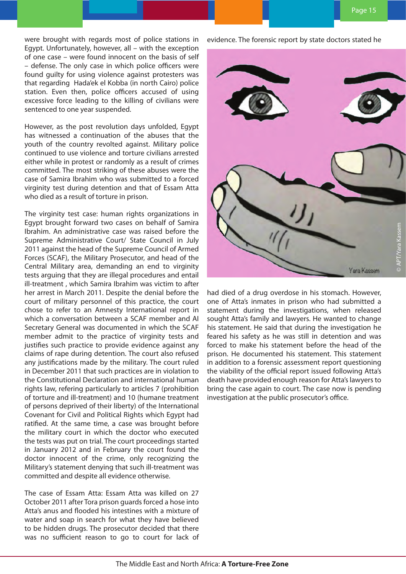were brought with regards most of police stations in Egypt. Unfortunately, however, all – with the exception of one case – were found innocent on the basis of self – defense. The only case in which police officers were found guilty for using violence against protesters was that regarding Hada'ek el Kobba (in north Cairo) police station. Even then, police officers accused of using excessive force leading to the killing of civilians were sentenced to one year suspended.

However, as the post revolution days unfolded, Egypt has witnessed a continuation of the abuses that the youth of the country revolted against. Military police continued to use violence and torture civilians arrested either while in protest or randomly as a result of crimes committed. The most striking of these abuses were the case of Samira Ibrahim who was submitted to a forced virginity test during detention and that of Essam Atta who died as a result of torture in prison.

The virginity test case: human rights organizations in Egypt brought forward two cases on behalf of Samira Ibrahim. An administrative case was raised before the Supreme Administrative Court/ State Council in July 2011 against the head of the Supreme Council of Armed Forces (SCAF), the Military Prosecutor, and head of the Central Military area, demanding an end to virginity tests arguing that they are illegal procedures and entail ill-treatment , which Samira Ibrahim was victim to after her arrest in March 2011. Despite the denial before the court of military personnel of this practice, the court chose to refer to an Amnesty International report in which a conversation between a SCAF member and AI Secretary General was documented in which the SCAF member admit to the practice of virginity tests and justifies such practice to provide evidence against any claims of rape during detention. The court also refused any justifications made by the military. The court ruled in December 2011 that such practices are in violation to the Constitutional Declaration and international human rights law, refering particularly to articles 7 (prohibition of torture and ill-treatment) and 10 (humane treatment of persons deprived of their liberty) of the International Covenant for Civil and Political Rights which Egypt had ratified. At the same time, a case was brought before the military court in which the doctor who executed the tests was put on trial. The court proceedings started in January 2012 and in February the court found the doctor innocent of the crime, only recognizing the Military's statement denying that such ill-treatment was committed and despite all evidence otherwise.

The case of Essam Atta: Essam Atta was killed on 27 October 2011 after Tora prison guards forced a hose into Atta's anus and flooded his intestines with a mixture of water and soap in search for what they have believed to be hidden drugs. The prosecutor decided that there was no sufficient reason to go to court for lack of

evidence. The forensic report by state doctors stated he



had died of a drug overdose in his stomach. However, one of Atta's inmates in prison who had submitted a statement during the investigations, when released sought Atta's family and lawyers. He wanted to change his statement. He said that during the investigation he feared his safety as he was still in detention and was forced to make his statement before the head of the prison. He documented his statement. This statement in addition to a forensic assessment report questioning the viability of the official report issued following Atta's death have provided enough reason for Atta's lawyers to bring the case again to court. The case now is pending investigation at the public prosecutor's office.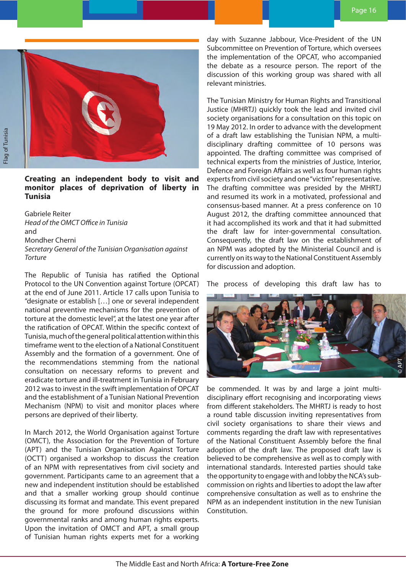

**Creating an independent body to visit and monitor places of deprivation of liberty in Tunisia**

Gabriele Reiter *Head of the OMCT Office in Tunisia*  and Mondher Cherni *Secretary General of the Tunisian Organisation against Torture*

The Republic of Tunisia has ratified the Optional Protocol to the UN Convention against Torture (OPCAT) at the end of June 2011. Article 17 calls upon Tunisia to "designate or establish […] one or several independent national preventive mechanisms for the prevention of torture at the domestic level", at the latest one year after the ratification of OPCAT. Within the specific context of Tunisia, much of the general political attention within this timeframe went to the election of a National Constituent Assembly and the formation of a government. One of the recommendations stemming from the national consultation on necessary reforms to prevent and eradicate torture and ill-treatment in Tunisia in February 2012 was to invest in the swift implementation of OPCAT and the establishment of a Tunisian National Prevention Mechanism (NPM) to visit and monitor places where persons are deprived of their liberty.

In March 2012, the World Organisation against Torture (OMCT), the Association for the Prevention of Torture (APT) and the Tunisian Organisation Against Torture (OCTT) organised a workshop to discuss the creation of an NPM with representatives from civil society and government. Participants came to an agreement that a new and independent institution should be established and that a smaller working group should continue discussing its format and mandate. This event prepared the ground for more profound discussions within governmental ranks and among human rights experts. Upon the invitation of OMCT and APT, a small group of Tunisian human rights experts met for a working

day with Suzanne Jabbour, Vice-President of the UN Subcommittee on Prevention of Torture, which oversees the implementation of the OPCAT, who accompanied the debate as a resource person. The report of the discussion of this working group was shared with all relevant ministries.

The Tunisian Ministry for Human Rights and Transitional Justice (MHRTJ) quickly took the lead and invited civil society organisations for a consultation on this topic on 19 May 2012. In order to advance with the development of a draft law establishing the Tunisian NPM, a multidisciplinary drafting committee of 10 persons was appointed. The drafting committee was comprised of technical experts from the ministries of Justice, Interior, Defence and Foreign Affairs as well as four human rights experts from civil society and one "victim" representative. The drafting committee was presided by the MHRTJ and resumed its work in a motivated, professional and consensus-based manner. At a press conference on 10 August 2012, the drafting committee announced that it had accomplished its work and that it had submitted the draft law for inter-governmental consultation. Consequently, the draft law on the establishment of an NPM was adopted by the Ministerial Council and is currently on its way to the National Constituent Assembly for discussion and adoption.

The process of developing this draft law has to



be commended. It was by and large a joint multidisciplinary effort recognising and incorporating views from different stakeholders. The MHRTJ is ready to host a round table discussion inviting representatives from civil society organisations to share their views and comments regarding the draft law with representatives of the National Constituent Assembly before the final adoption of the draft law. The proposed draft law is believed to be comprehensive as well as to comply with international standards. Interested parties should take the opportunity to engage with and lobby the NCA's subcommission on rights and liberties to adopt the law after comprehensive consultation as well as to enshrine the NPM as an independent institution in the new Tunisian Constitution.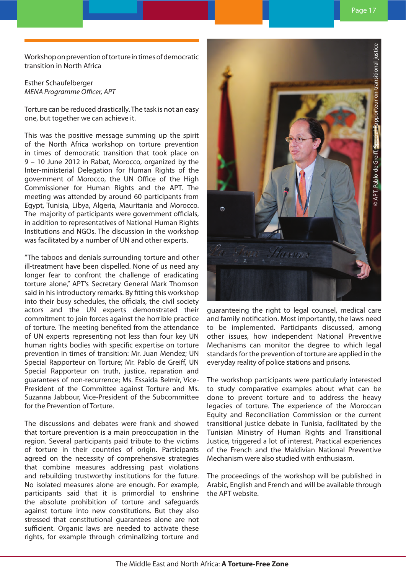Workshop on prevention of torture in times of democratic transition in North Africa

Esther Schaufelberger *MENA Programme Officer, APT*

Torture can be reduced drastically. The task is not an easy one, but together we can achieve it.

This was the positive message summing up the spirit of the North Africa workshop on torture prevention in times of democratic transition that took place on 9 – 10 June 2012 in Rabat, Morocco, organized by the Inter-ministerial Delegation for Human Rights of the government of Morocco, the UN Office of the High Commissioner for Human Rights and the APT. The meeting was attended by around 60 participants from Egypt, Tunisia, Libya, Algeria, Mauritania and Morocco. The majority of participants were government officials, in addition to representatives of National Human Rights Institutions and NGOs. The discussion in the workshop was facilitated by a number of UN and other experts.

"The taboos and denials surrounding torture and other ill-treatment have been dispelled. None of us need any longer fear to confront the challenge of eradicating torture alone," APT's Secretary General Mark Thomson said in his introductory remarks. By fitting this workshop into their busy schedules, the officials, the civil society actors and the UN experts demonstrated their commitment to join forces against the horrible practice of torture. The meeting benefited from the attendance of UN experts representing not less than four key UN human rights bodies with specific expertise on torture prevention in times of transition: Mr. Juan Mendez; UN Special Rapporteur on Torture; Mr. Pablo de Greiff, UN Special Rapporteur on truth, justice, reparation and guarantees of non-recurrence; Ms. Essaida Belmir, Vice-President of the Committee against Torture and Ms. Suzanna Jabbour, Vice-President of the Subcommittee for the Prevention of Torture.

The discussions and debates were frank and showed that torture prevention is a main preoccupation in the region. Several participants paid tribute to the victims of torture in their countries of origin. Participants agreed on the necessity of comprehensive strategies that combine measures addressing past violations and rebuilding trustworthy institutions for the future. No isolated measures alone are enough. For example, participants said that it is primordial to enshrine the absolute prohibition of torture and safeguards against torture into new constitutions. But they also stressed that constitutional guarantees alone are not sufficient. Organic laws are needed to activate these rights, for example through criminalizing torture and



guaranteeing the right to legal counsel, medical care and family notification. Most importantly, the laws need to be implemented. Participants discussed, among other issues, how independent National Preventive Mechanisms can monitor the degree to which legal standards for the prevention of torture are applied in the everyday reality of police stations and prisons.

The workshop participants were particularly interested to study comparative examples about what can be done to prevent torture and to address the heavy legacies of torture. The experience of the Moroccan Equity and Reconciliation Commission or the current transitional justice debate in Tunisia, facilitated by the Tunisian Ministry of Human Rights and Transitional Justice, triggered a lot of interest. Practical experiences of the French and the Maldivian National Preventive Mechanism were also studied with enthusiasm.

The proceedings of the workshop will be published in Arabic, English and French and will be available through the APT website.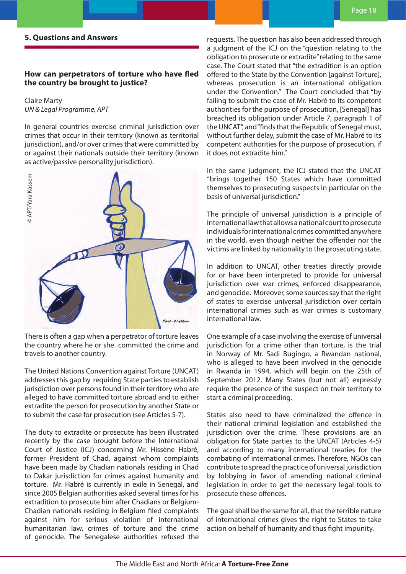# **How can perpetrators of torture who have fled the country be brought to justice?**

Claire Marty *UN & Legal Programme, APT*

In general countries exercise criminal jurisdiction over crimes that occur in their territory (known as territorial jurisdiction), and/or over crimes that were committed by or against their nationals outside their territory (known as active/passive personality jurisdiction).



There is often a gap when a perpetrator of torture leaves the country where he or she committed the crime and travels to another country.

The United Nations Convention against Torture (UNCAT) addresses this gap by requiring State parties to establish jurisdiction over persons found in their territory who are alleged to have committed torture abroad and to either extradite the person for prosecution by another State or to submit the case for prosecution (see Articles 5-7).

The duty to extradite or prosecute has been illustrated recently by the case brought before the International Court of Justice (ICJ) concerning Mr. Hissène Habré, former President of Chad, against whom complaints have been made by Chadian nationals residing in Chad to Dakar jurisdiction for crimes against humanity and torture. Mr. Habré is currently in exile in Senegal, and since 2005 Belgian authorities asked several times for his extradition to prosecute him after Chadians or Belgium-Chadian nationals residing in Belgium filed complaints against him for serious violation of international humanitarian law, crimes of torture and the crime of genocide. The Senegalese authorities refused the

requests. The question has also been addressed through a judgment of the ICJ on the "question relating to the obligation to prosecute or extradite" relating to the same case. The Court stated that "the extradition is an option offered to the State by the Convention [against Torture], whereas prosecution is an international obligation under the Convention." The Court concluded that "by failing to submit the case of Mr. Habré to its competent authorities for the purpose of prosecution, [Senegal] has breached its obligation under Article 7, paragraph 1 of the UNCAT", and "finds that the Republic of Senegal must, without further delay, submit the case of Mr. Habré to its competent authorities for the purpose of prosecution, if it does not extradite him."

In the same judgment, the ICJ stated that the UNCAT "brings together 150 States which have committed themselves to prosecuting suspects in particular on the basis of universal jurisdiction."

The principle of universal jurisdiction is a principle of international law that allows a national court to prosecute individuals for international crimes committed anywhere in the world, even though neither the offender nor the victims are linked by nationality to the prosecuting state.

In addition to UNCAT, other treaties directly provide for or have been interpreted to provide for universal jurisdiction over war crimes, enforced disappearance, and genocide. Moreover, some sources say that the right of states to exercise universal jurisdiction over certain international crimes such as war crimes is customary international law.

One example of a case involving the exercise of universal jurisdiction for a crime other than torture, is the trial in Norway of Mr. Sadi Bugingo, a Rwandan national, who is alleged to have been involved in the genocide in Rwanda in 1994, which will begin on the 25th of September 2012. Many States (but not all) expressly require the presence of the suspect on their territory to start a criminal proceeding.

States also need to have criminalized the offence in their national criminal legislation and established the jurisdiction over the crime. These provisions are an obligation for State parties to the UNCAT (Articles 4-5) and according to many international treaties for the combating of international crimes. Therefore, NGOs can contribute to spread the practice of universal jurisdiction by lobbying in favor of amending national criminal legislation in order to get the necessary legal tools to prosecute these offences.

The goal shall be the same for all, that the terrible nature of international crimes gives the right to States to take action on behalf of humanity and thus fight impunity.